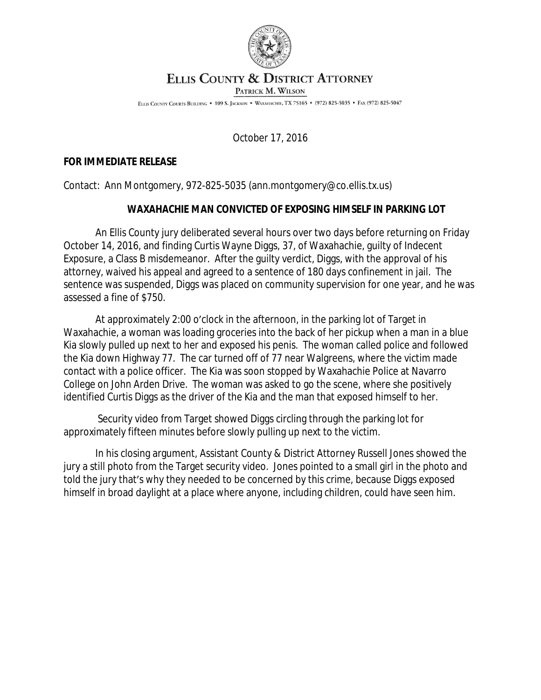

## ELLIS COUNTY & DISTRICT ATTORNEY

PATRICK M. WILSON

ELLIS COUNTY COURTS BUILDING . 109 S. JACKSON . WAXAHACHIE, TX 75165 . (972) 825-5035 . FAX (972) 825-5047

October 17, 2016

## **FOR IMMEDIATE RELEASE**

Contact: Ann Montgomery, 972-825-5035 (ann.montgomery@co.ellis.tx.us)

## **WAXAHACHIE MAN CONVICTED OF EXPOSING HIMSELF IN PARKING LOT**

An Ellis County jury deliberated several hours over two days before returning on Friday October 14, 2016, and finding Curtis Wayne Diggs, 37, of Waxahachie, guilty of Indecent Exposure, a Class B misdemeanor. After the guilty verdict, Diggs, with the approval of his attorney, waived his appeal and agreed to a sentence of 180 days confinement in jail. The sentence was suspended, Diggs was placed on community supervision for one year, and he was assessed a fine of \$750.

At approximately 2:00 o'clock in the afternoon, in the parking lot of Target in Waxahachie, a woman was loading groceries into the back of her pickup when a man in a blue Kia slowly pulled up next to her and exposed his penis. The woman called police and followed the Kia down Highway 77. The car turned off of 77 near Walgreens, where the victim made contact with a police officer. The Kia was soon stopped by Waxahachie Police at Navarro College on John Arden Drive. The woman was asked to go the scene, where she positively identified Curtis Diggs as the driver of the Kia and the man that exposed himself to her.

Security video from Target showed Diggs circling through the parking lot for approximately fifteen minutes before slowly pulling up next to the victim.

In his closing argument, Assistant County & District Attorney Russell Jones showed the jury a still photo from the Target security video. Jones pointed to a small girl in the photo and told the jury that's why they needed to be concerned by this crime, because Diggs exposed himself in broad daylight at a place where anyone, including children, could have seen him.